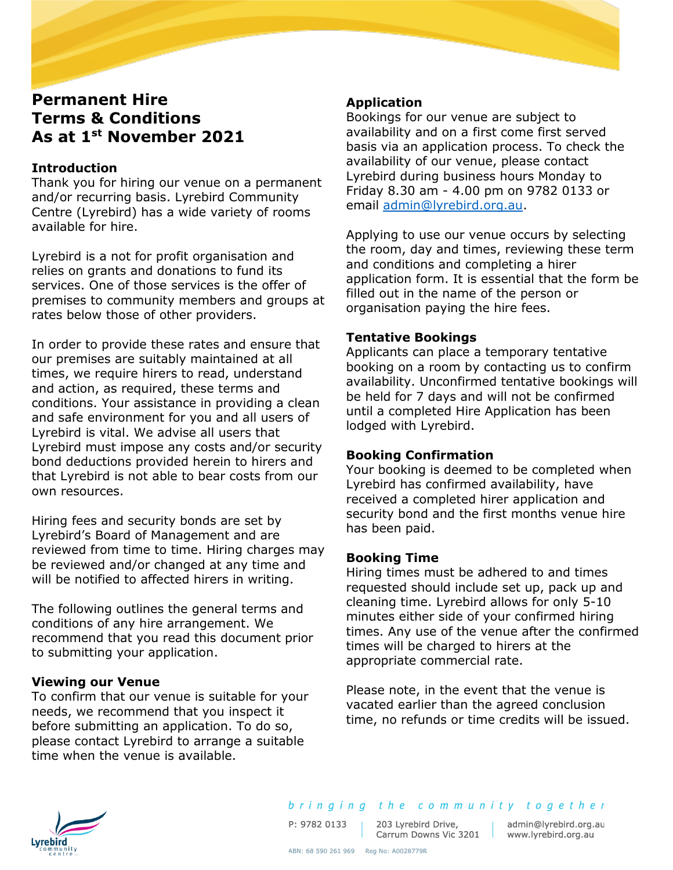# **Permanent Hire Terms & Conditions As at 1st November 2021**

# **Introduction**

Thank you for hiring our venue on a permanent and/or recurring basis. Lyrebird Community Centre (Lyrebird) has a wide variety of rooms available for hire.

Lyrebird is a not for profit organisation and relies on grants and donations to fund its services. One of those services is the offer of premises to community members and groups at rates below those of other providers.

In order to provide these rates and ensure that our premises are suitably maintained at all times, we require hirers to read, understand and action, as required, these terms and conditions. Your assistance in providing a clean and safe environment for you and all users of Lyrebird is vital. We advise all users that Lyrebird must impose any costs and/or security bond deductions provided herein to hirers and that Lyrebird is not able to bear costs from our own resources.

Hiring fees and security bonds are set by Lyrebird's Board of Management and are reviewed from time to time. Hiring charges may be reviewed and/or changed at any time and will be notified to affected hirers in writing.

The following outlines the general terms and conditions of any hire arrangement. We recommend that you read this document prior to submitting your application.

# **Viewing our Venue**

To confirm that our venue is suitable for your needs, we recommend that you inspect it before submitting an application. To do so, please contact Lyrebird to arrange a suitable time when the venue is available.

# **Application**

Bookings for our venue are subject to availability and on a first come first served basis via an application process. To check the availability of our venue, please contact Lyrebird during business hours Monday to Friday 8.30 am - 4.00 pm on 9782 0133 or email [admin@lyrebird.org.au.](mailto:admin@lyrebird.org.au)

Applying to use our venue occurs by selecting the room, day and times, reviewing these term and conditions and completing a hirer application form. It is essential that the form be filled out in the name of the person or organisation paying the hire fees.

# **Tentative Bookings**

Applicants can place a temporary tentative booking on a room by contacting us to confirm availability. Unconfirmed tentative bookings will be held for 7 days and will not be confirmed until a completed Hire Application has been lodged with Lyrebird.

# **Booking Confirmation**

Your booking is deemed to be completed when Lyrebird has confirmed availability, have received a completed hirer application and security bond and the first months venue hire has been paid.

# **Booking Time**

Hiring times must be adhered to and times requested should include set up, pack up and cleaning time. Lyrebird allows for only 5-10 minutes either side of your confirmed hiring times. Any use of the venue after the confirmed times will be charged to hirers at the appropriate commercial rate.

Please note, in the event that the venue is vacated earlier than the agreed conclusion time, no refunds or time credits will be issued.



203 Lyrebird Drive, 203 Lyrebird Drive, admin@lyrebird.org.au<br>Carrum Downs Vic 3201 www.lyrebird.org.au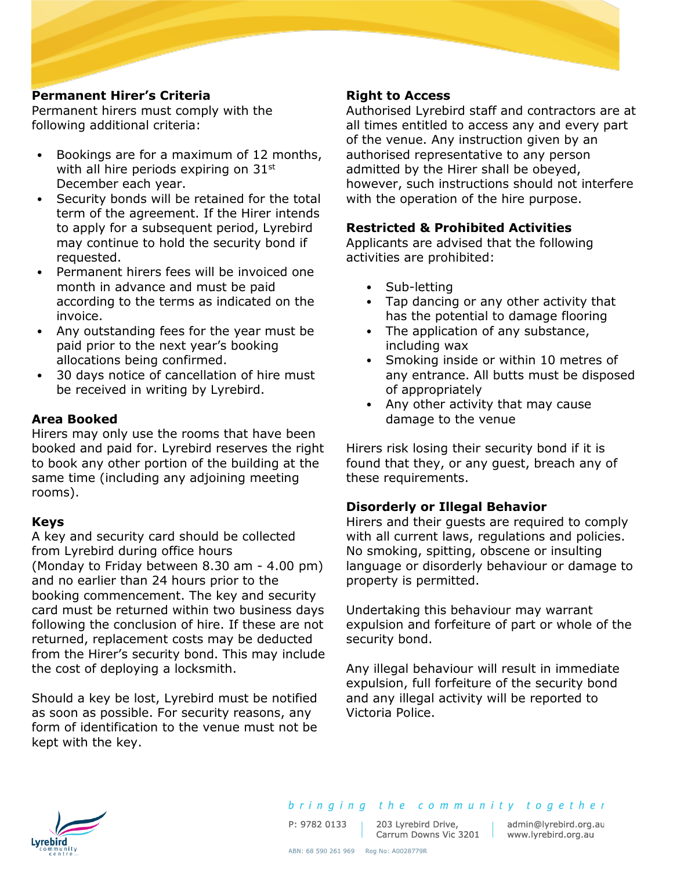## **Permanent Hirer's Criteria**

Permanent hirers must comply with the following additional criteria:

- Bookings are for a maximum of 12 months, with all hire periods expiring on  $31<sup>st</sup>$ December each year.
- Security bonds will be retained for the total term of the agreement. If the Hirer intends to apply for a subsequent period, Lyrebird may continue to hold the security bond if requested.
- Permanent hirers fees will be invoiced one month in advance and must be paid according to the terms as indicated on the invoice.
- Any outstanding fees for the year must be paid prior to the next year's booking allocations being confirmed.
- 30 days notice of cancellation of hire must be received in writing by Lyrebird.

#### **Area Booked**

Hirers may only use the rooms that have been booked and paid for. Lyrebird reserves the right to book any other portion of the building at the same time (including any adjoining meeting rooms).

#### **Keys**

A key and security card should be collected from Lyrebird during office hours (Monday to Friday between 8.30 am - 4.00 pm) and no earlier than 24 hours prior to the booking commencement. The key and security card must be returned within two business days following the conclusion of hire. If these are not returned, replacement costs may be deducted from the Hirer's security bond. This may include the cost of deploying a locksmith.

Should a key be lost, Lyrebird must be notified as soon as possible. For security reasons, any form of identification to the venue must not be kept with the key.

## **Right to Access**

Authorised Lyrebird staff and contractors are at all times entitled to access any and every part of the venue. Any instruction given by an authorised representative to any person admitted by the Hirer shall be obeyed, however, such instructions should not interfere with the operation of the hire purpose.

## **Restricted & Prohibited Activities**

Applicants are advised that the following activities are prohibited:

- Sub-letting
- Tap dancing or any other activity that has the potential to damage flooring
- The application of any substance, including wax
- Smoking inside or within 10 metres of any entrance. All butts must be disposed of appropriately
- Any other activity that may cause damage to the venue

Hirers risk losing their security bond if it is found that they, or any guest, breach any of these requirements.

#### **Disorderly or Illegal Behavior**

Hirers and their guests are required to comply with all current laws, regulations and policies. No smoking, spitting, obscene or insulting language or disorderly behaviour or damage to property is permitted.

Undertaking this behaviour may warrant expulsion and forfeiture of part or whole of the security bond.

Any illegal behaviour will result in immediate expulsion, full forfeiture of the security bond and any illegal activity will be reported to Victoria Police.



P: 9782 0133

203 Lyrebird Drive, 203 Lyrebird Drive, admin@lyrebird.org.<br>Carrum Downs Vic 3201 www.lyrebird.org.au

admin@lyrebird.org.au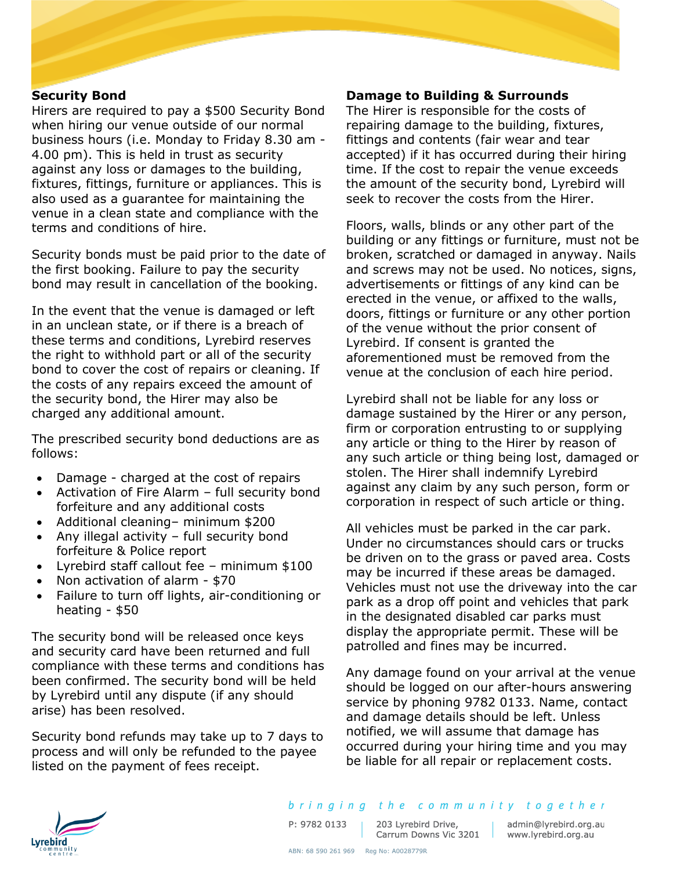#### **Security Bond**

Hirers are required to pay a \$500 Security Bond when hiring our venue outside of our normal business hours (i.e. Monday to Friday 8.30 am - 4.00 pm). This is held in trust as security against any loss or damages to the building, fixtures, fittings, furniture or appliances. This is also used as a guarantee for maintaining the venue in a clean state and compliance with the terms and conditions of hire.

Security bonds must be paid prior to the date of the first booking. Failure to pay the security bond may result in cancellation of the booking.

In the event that the venue is damaged or left in an unclean state, or if there is a breach of these terms and conditions, Lyrebird reserves the right to withhold part or all of the security bond to cover the cost of repairs or cleaning. If the costs of any repairs exceed the amount of the security bond, the Hirer may also be charged any additional amount.

The prescribed security bond deductions are as follows:

- Damage charged at the cost of repairs
- Activation of Fire Alarm full security bond forfeiture and any additional costs
- Additional cleaning– minimum \$200
- Any illegal activity full security bond forfeiture & Police report
- Lyrebird staff callout fee minimum \$100
- Non activation of alarm \$70
- Failure to turn off lights, air-conditioning or heating - \$50

The security bond will be released once keys and security card have been returned and full compliance with these terms and conditions has been confirmed. The security bond will be held by Lyrebird until any dispute (if any should arise) has been resolved.

Security bond refunds may take up to 7 days to process and will only be refunded to the payee listed on the payment of fees receipt.

#### **Damage to Building & Surrounds**

The Hirer is responsible for the costs of repairing damage to the building, fixtures, fittings and contents (fair wear and tear accepted) if it has occurred during their hiring time. If the cost to repair the venue exceeds the amount of the security bond, Lyrebird will seek to recover the costs from the Hirer.

Floors, walls, blinds or any other part of the building or any fittings or furniture, must not be broken, scratched or damaged in anyway. Nails and screws may not be used. No notices, signs, advertisements or fittings of any kind can be erected in the venue, or affixed to the walls, doors, fittings or furniture or any other portion of the venue without the prior consent of Lyrebird. If consent is granted the aforementioned must be removed from the venue at the conclusion of each hire period.

Lyrebird shall not be liable for any loss or damage sustained by the Hirer or any person, firm or corporation entrusting to or supplying any article or thing to the Hirer by reason of any such article or thing being lost, damaged or stolen. The Hirer shall indemnify Lyrebird against any claim by any such person, form or corporation in respect of such article or thing.

All vehicles must be parked in the car park. Under no circumstances should cars or trucks be driven on to the grass or paved area. Costs may be incurred if these areas be damaged. Vehicles must not use the driveway into the car park as a drop off point and vehicles that park in the designated disabled car parks must display the appropriate permit. These will be patrolled and fines may be incurred.

Any damage found on your arrival at the venue should be logged on our after-hours answering service by phoning 9782 0133. Name, contact and damage details should be left. Unless notified, we will assume that damage has occurred during your hiring time and you may be liable for all repair or replacement costs.



203 Lyrebird Drive, admin@lyrebird.org.au<br>Carrum Downs Vic 3201 www.lyrebird.org.au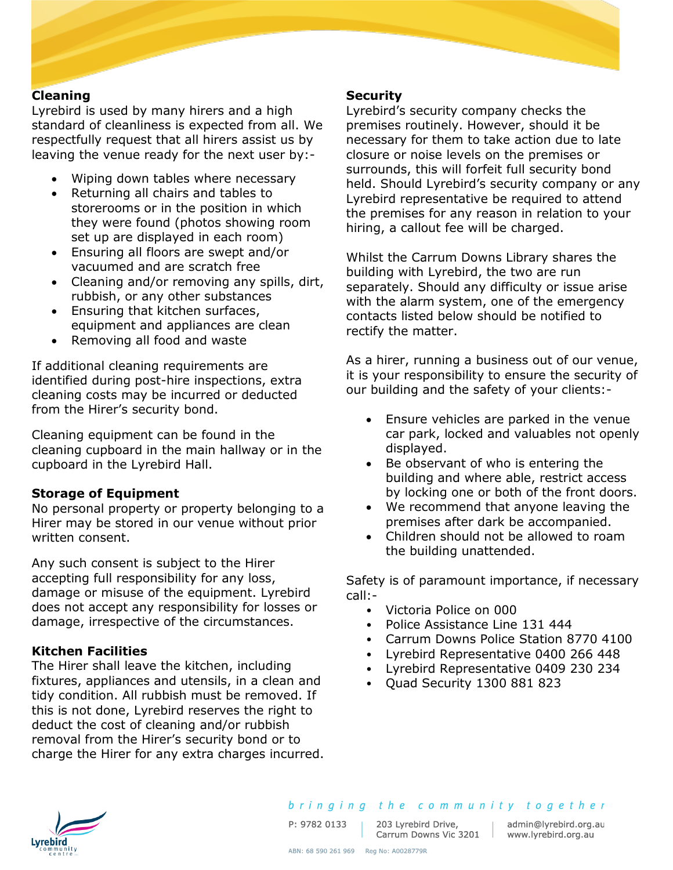#### **Cleaning**

Lyrebird is used by many hirers and a high standard of cleanliness is expected from all. We respectfully request that all hirers assist us by leaving the venue ready for the next user by:-

- Wiping down tables where necessary
- Returning all chairs and tables to storerooms or in the position in which they were found (photos showing room set up are displayed in each room)
- Ensuring all floors are swept and/or vacuumed and are scratch free
- Cleaning and/or removing any spills, dirt, rubbish, or any other substances
- Ensuring that kitchen surfaces, equipment and appliances are clean
- Removing all food and waste

If additional cleaning requirements are identified during post-hire inspections, extra cleaning costs may be incurred or deducted from the Hirer's security bond.

Cleaning equipment can be found in the cleaning cupboard in the main hallway or in the cupboard in the Lyrebird Hall.

#### **Storage of Equipment**

No personal property or property belonging to a Hirer may be stored in our venue without prior written consent.

Any such consent is subject to the Hirer accepting full responsibility for any loss, damage or misuse of the equipment. Lyrebird does not accept any responsibility for losses or damage, irrespective of the circumstances.

#### **Kitchen Facilities**

The Hirer shall leave the kitchen, including fixtures, appliances and utensils, in a clean and tidy condition. All rubbish must be removed. If this is not done, Lyrebird reserves the right to deduct the cost of cleaning and/or rubbish removal from the Hirer's security bond or to charge the Hirer for any extra charges incurred.

#### **Security**

Lyrebird's security company checks the premises routinely. However, should it be necessary for them to take action due to late closure or noise levels on the premises or surrounds, this will forfeit full security bond held. Should Lyrebird's security company or any Lyrebird representative be required to attend the premises for any reason in relation to your hiring, a callout fee will be charged.

Whilst the Carrum Downs Library shares the building with Lyrebird, the two are run separately. Should any difficulty or issue arise with the alarm system, one of the emergency contacts listed below should be notified to rectify the matter.

As a hirer, running a business out of our venue, it is your responsibility to ensure the security of our building and the safety of your clients:-

- Ensure vehicles are parked in the venue car park, locked and valuables not openly displayed.
- Be observant of who is entering the building and where able, restrict access by locking one or both of the front doors.
- We recommend that anyone leaving the premises after dark be accompanied.
- Children should not be allowed to roam the building unattended.

Safety is of paramount importance, if necessary call:-

- Victoria Police on 000
- Police Assistance Line 131 444
- Carrum Downs Police Station 8770 4100
- Lyrebird Representative 0400 266 448
- Lyrebird Representative 0409 230 234
- Quad Security 1300 881 823



bringing the community together

P: 9782 0133

203 Lyrebird Drive,

admin@lyrebird.org.au 203 Lyrebird Drive, admin@lyrebird.org.<br>Carrum Downs Vic 3201 www.lyrebird.org.au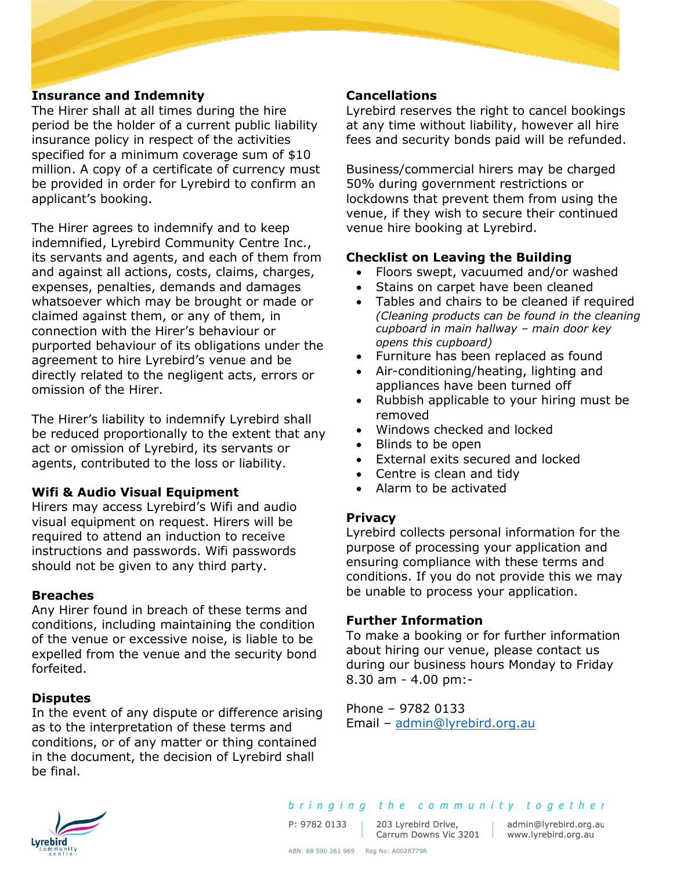## **Insurance and Indemnity**

The Hirer shall at all times during the hire period be the holder of a current public liability insurance policy in respect of the activities specified for a minimum coverage sum of \$10 million. A copy of a certificate of currency must be provided in order for Lyrebird to confirm an applicant's booking.

The Hirer agrees to indemnify and to keep indemnified, Lyrebird Community Centre Inc., its servants and agents, and each of them from and against all actions, costs, claims, charges, expenses, penalties, demands and damages whatsoever which may be brought or made or claimed against them, or any of them, in connection with the Hirer's behaviour or purported behaviour of its obligations under the agreement to hire Lyrebird's venue and be directly related to the negligent acts, errors or omission of the Hirer.

The Hirer's liability to indemnify Lyrebird shall be reduced proportionally to the extent that any act or omission of Lyrebird, its servants or agents, contributed to the loss or liability.

#### **Wifi & Audio Visual Equipment**

Hirers may access Lyrebird's Wifi and audio visual equipment on request. Hirers will be required to attend an induction to receive instructions and passwords. Wifi passwords should not be given to any third party.

#### **Breaches**

Any Hirer found in breach of these terms and conditions, including maintaining the condition of the venue or excessive noise, is liable to be expelled from the venue and the security bond forfeited.

#### **Disputes**

In the event of any dispute or difference arising as to the interpretation of these terms and conditions, or of any matter or thing contained in the document, the decision of Lyrebird shall be final.

#### **Cancellations**

Lyrebird reserves the right to cancel bookings at any time without liability, however all hire fees and security bonds paid will be refunded.

Business/commercial hirers may be charged 50% during government restrictions or lockdowns that prevent them from using the venue, if they wish to secure their continued venue hire booking at Lyrebird.

## **Checklist on Leaving the Building**

- Floors swept, vacuumed and/or washed
- Stains on carpet have been cleaned
- Tables and chairs to be cleaned if required *(Cleaning products can be found in the cleaning cupboard in main hallway – main door key opens this cupboard)*
- Furniture has been replaced as found
- Air-conditioning/heating, lighting and appliances have been turned off
- Rubbish applicable to your hiring must be removed
- Windows checked and locked
- Blinds to be open
- External exits secured and locked
- Centre is clean and tidy
- Alarm to be activated

#### **Privacy**

Lyrebird collects personal information for the purpose of processing your application and ensuring compliance with these terms and conditions. If you do not provide this we may be unable to process your application.

#### **Further Information**

To make a booking or for further information about hiring our venue, please contact us during our business hours Monday to Friday 8.30 am - 4.00 pm:-

Phone – 9782 0133 Email – [admin@lyrebird.org.au](mailto:admin@lyrebird.org.au)



P: 9782 0133

203 Lyrebird Drive, 203 Lyrebird Drive, admin@lyrebird.org.au<br>Carrum Downs Vic 3201 www.lyrebird.org.au